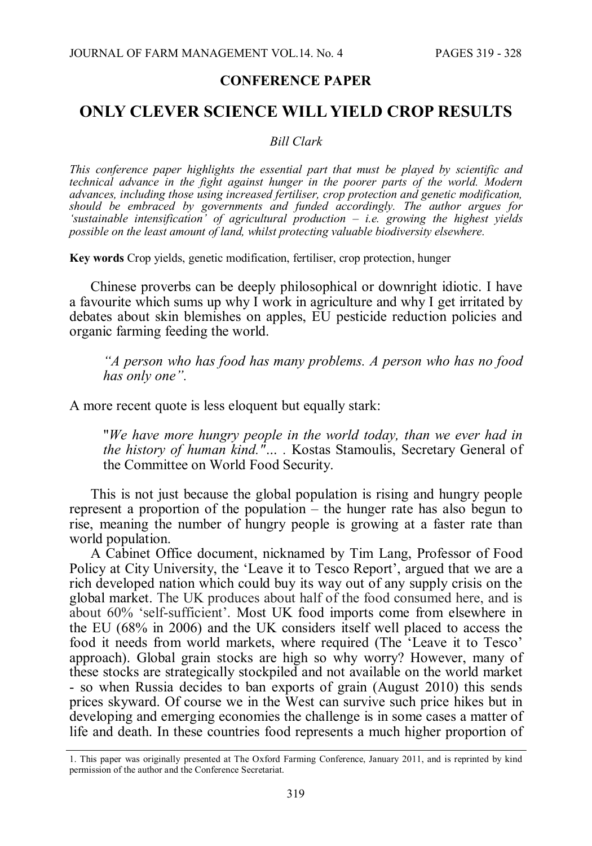#### **CONFERENCE PAPER**

# **ONLY CLEVER SCIENCE WILL YIELD CROP RESULTS**

#### *Bill Clark*

*This conference paper highlights the essential part that must be played by scientific and technical advance in the fight against hunger in the poorer parts of the world. Modern advances, including those using increased fertiliser, crop protection and genetic modification, should be embraced by governments and funded accordingly. The author argues for 'sustainable intensification' of agricultural production – i.e. growing the highest yields possible on the least amount of land, whilst protecting valuable biodiversity elsewhere.*

**Key words** Crop yields, genetic modification, fertiliser, crop protection, hunger

Chinese proverbs can be deeply philosophical or downright idiotic. I have a favourite which sums up why I work in agriculture and why I get irritated by debates about skin blemishes on apples, EU pesticide reduction policies and organic farming feeding the world.

*"A person who has food has many problems. A person who has no food has only one".*

A more recent quote is less eloquent but equally stark:

"*We have more hungry people in the world today, than we ever had in the history of human kind."… .* Kostas Stamoulis, Secretary General of the Committee on World Food Security.

This is not just because the global population is rising and hungry people represent a proportion of the population – the hunger rate has also begun to rise, meaning the number of hungry people is growing at a faster rate than world population.

A Cabinet Office document, nicknamed by Tim Lang, Professor of Food Policy at City University, the 'Leave it to Tesco Report', argued that we are a rich developed nation which could buy its way out of any supply crisis on the global market. The UK produces about half of the food consumed here, and is about 60% 'self-sufficient'. Most UK food imports come from elsewhere in the EU (68% in 2006) and the UK considers itself well placed to access the food it needs from world markets, where required (The 'Leave it to Tesco' approach). Global grain stocks are high so why worry? However, many of these stocks are strategically stockpiled and not available on the world market - so when Russia decides to ban exports of grain (August 2010) this sends prices skyward. Of course we in the West can survive such price hikes but in developing and emerging economies the challenge is in some cases a matter of life and death. In these countries food represents a much higher proportion of

<sup>1.</sup> This paper was originally presented at The Oxford Farming Conference, January 2011, and is reprinted by kind permission of the author and the Conference Secretariat.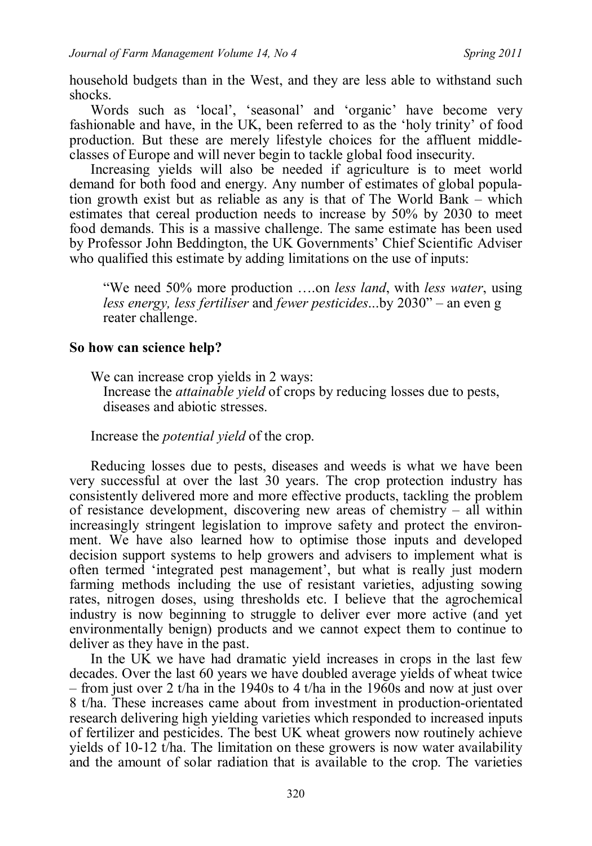household budgets than in the West, and they are less able to withstand such shocks.

Words such as 'local', 'seasonal' and 'organic' have become very fashionable and have, in the UK, been referred to as the 'holy trinity' of food production. But these are merely lifestyle choices for the affluent middleclasses of Europe and will never begin to tackle global food insecurity.

Increasing yields will also be needed if agriculture is to meet world demand for both food and energy. Any number of estimates of global population growth exist but as reliable as any is that of The World Bank – which estimates that cereal production needs to increase by 50% by 2030 to meet food demands. This is a massive challenge. The same estimate has been used by Professor John Beddington, the UK Governments' Chief Scientific Adviser who qualified this estimate by adding limitations on the use of inputs:

"We need 50% more production ….on *less land*, with *less water*, using *less energy, less fertiliser* and *fewer pesticides*...by 2030" – an even g reater challenge.

## **So how can science help?**

We can increase crop yields in 2 ways:

Increase the *attainable yield* of crops by reducing losses due to pests, diseases and abiotic stresses.

Increase the *potential yield* of the crop.

Reducing losses due to pests, diseases and weeds is what we have been very successful at over the last 30 years. The crop protection industry has consistently delivered more and more effective products, tackling the problem of resistance development, discovering new areas of chemistry – all within increasingly stringent legislation to improve safety and protect the environment. We have also learned how to optimise those inputs and developed decision support systems to help growers and advisers to implement what is often termed 'integrated pest management', but what is really just modern farming methods including the use of resistant varieties, adjusting sowing rates, nitrogen doses, using thresholds etc. I believe that the agrochemical industry is now beginning to struggle to deliver ever more active (and yet environmentally benign) products and we cannot expect them to continue to deliver as they have in the past.

In the UK we have had dramatic yield increases in crops in the last few decades. Over the last 60 years we have doubled average yields of wheat twice – from just over 2 t/ha in the 1940s to 4 t/ha in the 1960s and now at just over 8 t/ha. These increases came about from investment in production-orientated research delivering high yielding varieties which responded to increased inputs of fertilizer and pesticides. The best UK wheat growers now routinely achieve yields of 10-12 t/ha. The limitation on these growers is now water availability and the amount of solar radiation that is available to the crop. The varieties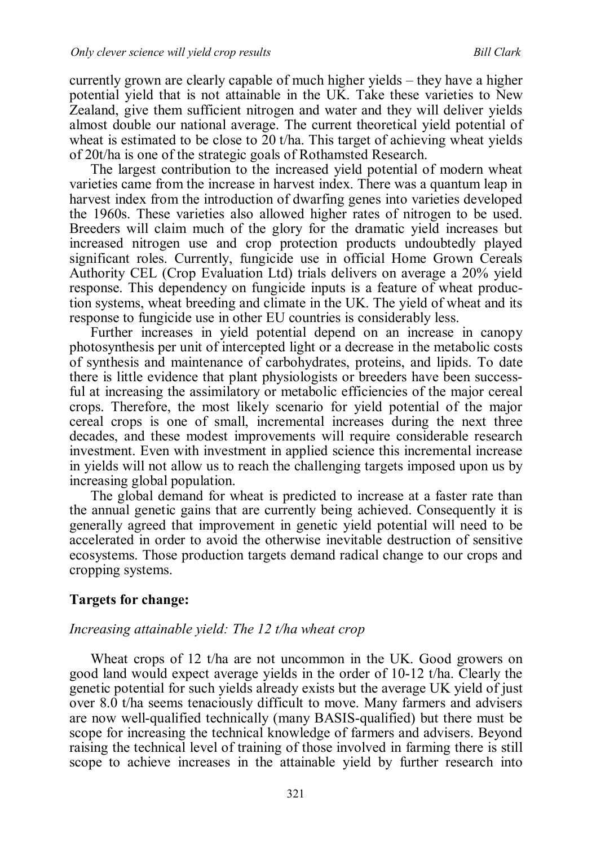currently grown are clearly capable of much higher yields – they have a higher potential yield that is not attainable in the UK. Take these varieties to New Zealand, give them sufficient nitrogen and water and they will deliver yields almost double our national average. The current theoretical yield potential of wheat is estimated to be close to 20 t/ha. This target of achieving wheat yields of 20t/ha is one of the strategic goals of Rothamsted Research.

The largest contribution to the increased yield potential of modern wheat varieties came from the increase in harvest index. There was a quantum leap in harvest index from the introduction of dwarfing genes into varieties developed the 1960s. These varieties also allowed higher rates of nitrogen to be used. Breeders will claim much of the glory for the dramatic yield increases but increased nitrogen use and crop protection products undoubtedly played significant roles. Currently, fungicide use in official Home Grown Cereals Authority CEL (Crop Evaluation Ltd) trials delivers on average a 20% yield response. This dependency on fungicide inputs is a feature of wheat production systems, wheat breeding and climate in the UK. The yield of wheat and its response to fungicide use in other EU countries is considerably less.

Further increases in yield potential depend on an increase in canopy photosynthesis per unit of intercepted light or a decrease in the metabolic costs of synthesis and maintenance of carbohydrates, proteins, and lipids. To date there is little evidence that plant physiologists or breeders have been successful at increasing the assimilatory or metabolic efficiencies of the major cereal crops. Therefore, the most likely scenario for yield potential of the major cereal crops is one of small, incremental increases during the next three decades, and these modest improvements will require considerable research investment. Even with investment in applied science this incremental increase in yields will not allow us to reach the challenging targets imposed upon us by increasing global population.

The global demand for wheat is predicted to increase at a faster rate than the annual genetic gains that are currently being achieved. Consequently it is generally agreed that improvement in genetic yield potential will need to be accelerated in order to avoid the otherwise inevitable destruction of sensitive ecosystems. Those production targets demand radical change to our crops and cropping systems.

### **Targets for change:**

#### *Increasing attainable yield: The 12 t/ha wheat crop*

Wheat crops of 12 t/ha are not uncommon in the UK. Good growers on good land would expect average yields in the order of 10-12 t/ha. Clearly the genetic potential for such yields already exists but the average UK yield of just over 8.0 t/ha seems tenaciously difficult to move. Many farmers and advisers are now well-qualified technically (many BASIS-qualified) but there must be scope for increasing the technical knowledge of farmers and advisers. Beyond raising the technical level of training of those involved in farming there is still scope to achieve increases in the attainable yield by further research into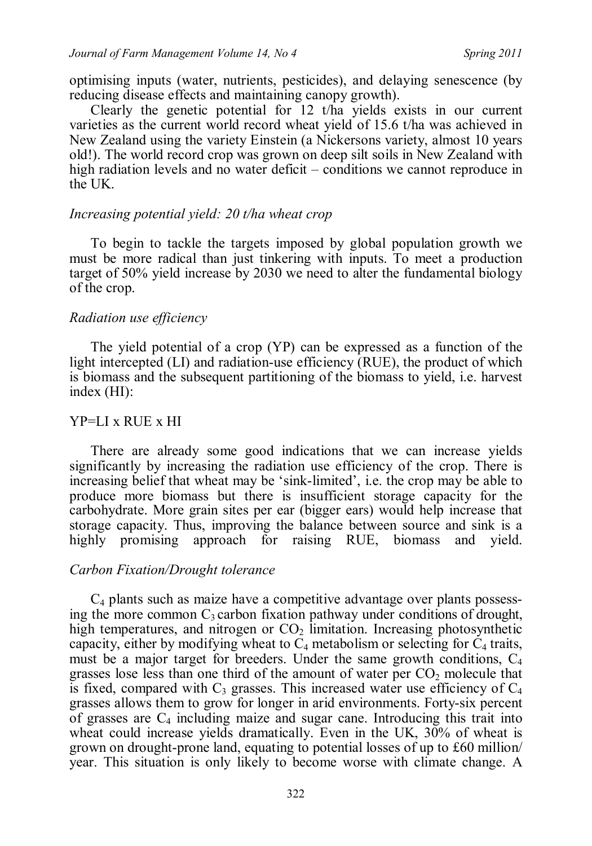optimising inputs (water, nutrients, pesticides), and delaying senescence (by reducing disease effects and maintaining canopy growth).

Clearly the genetic potential for 12 t/ha yields exists in our current varieties as the current world record wheat yield of 15.6 t/ha was achieved in New Zealand using the variety Einstein (a Nickersons variety, almost 10 years old!). The world record crop was grown on deep silt soils in New Zealand with high radiation levels and no water deficit – conditions we cannot reproduce in the UK.

### *Increasing potential yield: 20 t/ha wheat crop*

To begin to tackle the targets imposed by global population growth we must be more radical than just tinkering with inputs. To meet a production target of 50% yield increase by 2030 we need to alter the fundamental biology of the crop.

### *Radiation use efficiency*

The yield potential of a crop (YP) can be expressed as a function of the light intercepted (LI) and radiation-use efficiency (RUE), the product of which is biomass and the subsequent partitioning of the biomass to yield, i.e. harvest index (HI):

#### YP=LI x RUE x HI

There are already some good indications that we can increase yields significantly by increasing the radiation use efficiency of the crop. There is increasing belief that wheat may be 'sink-limited', i.e. the crop may be able to produce more biomass but there is insufficient storage capacity for the carbohydrate. More grain sites per ear (bigger ears) would help increase that storage capacity. Thus, improving the balance between source and sink is a highly promising approach for raising RUE, biomass and yield.

## *Carbon Fixation/Drought tolerance*

 $C_4$  plants such as maize have a competitive advantage over plants possessing the more common  $C_3$  carbon fixation pathway under conditions of drought, high temperatures, and nitrogen or  $CO<sub>2</sub>$  limitation. Increasing photosynthetic capacity, either by modifying wheat to  $C_4$  metabolism or selecting for  $C_4$  traits, must be a major target for breeders. Under the same growth conditions,  $C_4$ grasses lose less than one third of the amount of water per  $CO<sub>2</sub>$  molecule that is fixed, compared with  $C_3$  grasses. This increased water use efficiency of  $C_4$ grasses allows them to grow for longer in arid environments. Forty-six percent of grasses are  $C_4$  including maize and sugar cane. Introducing this trait into wheat could increase yields dramatically. Even in the UK, 30% of wheat is grown on drought-prone land, equating to potential losses of up to £60 million/ year. This situation is only likely to become worse with climate change. A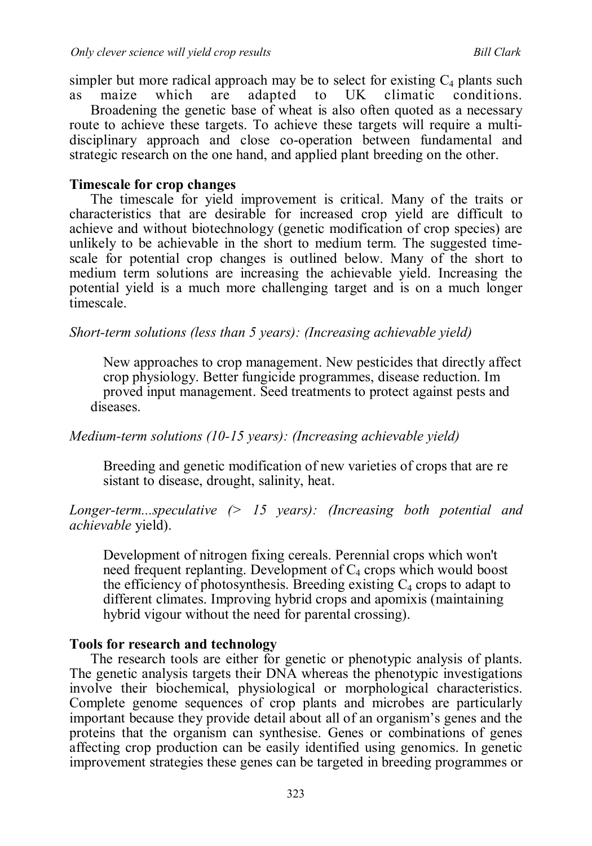simpler but more radical approach may be to select for existing  $C_4$  plants such as maize which are adapted to UK climatic conditions. as maize which are adapted to UK climatic conditions.

Broadening the genetic base of wheat is also often quoted as a necessary route to achieve these targets. To achieve these targets will require a multidisciplinary approach and close co-operation between fundamental and strategic research on the one hand, and applied plant breeding on the other.

## **Timescale for crop changes**

The timescale for yield improvement is critical. Many of the traits or characteristics that are desirable for increased crop yield are difficult to achieve and without biotechnology (genetic modification of crop species) are unlikely to be achievable in the short to medium term. The suggested timescale for potential crop changes is outlined below. Many of the short to medium term solutions are increasing the achievable yield. Increasing the potential yield is a much more challenging target and is on a much longer timescale.

*Short-term solutions (less than 5 years): (Increasing achievable yield)*

New approaches to crop management. New pesticides that directly affect crop physiology. Better fungicide programmes, disease reduction. Im proved input management. Seed treatments to protect against pests and diseases.

*Medium-term solutions (10-15 years): (Increasing achievable yield)*

Breeding and genetic modification of new varieties of crops that are re sistant to disease, drought, salinity, heat.

# *Longer-term...speculative (> 15 years): (Increasing both potential and achievable* yield).

Development of nitrogen fixing cereals. Perennial crops which won't need frequent replanting. Development of  $C_4$  crops which would boost the efficiency of photosynthesis. Breeding existing  $C_4$  crops to adapt to different climates. Improving hybrid crops and apomixis (maintaining hybrid vigour without the need for parental crossing).

# **Tools for research and technology**

The research tools are either for genetic or phenotypic analysis of plants. The genetic analysis targets their DNA whereas the phenotypic investigations involve their biochemical, physiological or morphological characteristics. Complete genome sequences of crop plants and microbes are particularly important because they provide detail about all of an organism's genes and the proteins that the organism can synthesise. Genes or combinations of genes affecting crop production can be easily identified using genomics. In genetic improvement strategies these genes can be targeted in breeding programmes or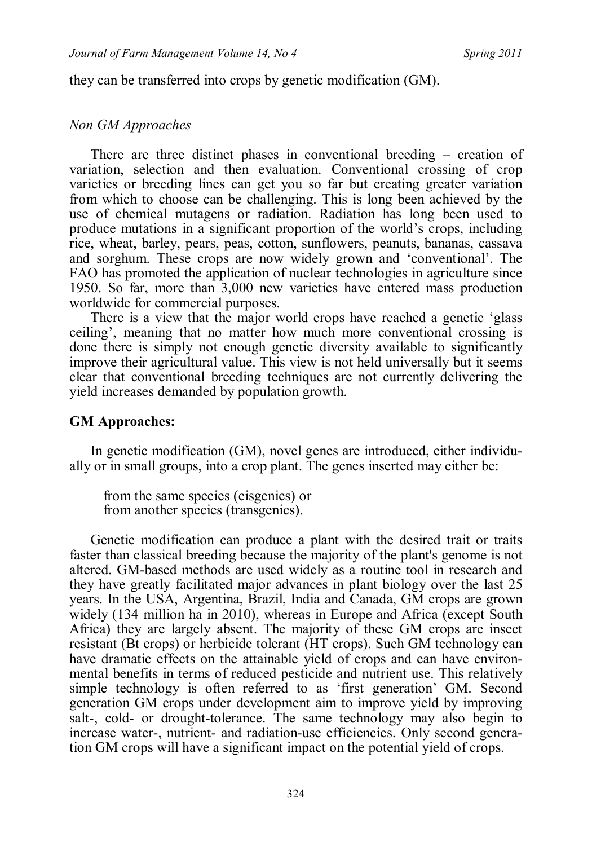they can be transferred into crops by genetic modification (GM).

## *Non GM Approaches*

There are three distinct phases in conventional breeding – creation of variation, selection and then evaluation. Conventional crossing of crop varieties or breeding lines can get you so far but creating greater variation from which to choose can be challenging. This is long been achieved by the use of chemical mutagens or radiation. Radiation has long been used to produce mutations in a significant proportion of the world's crops, including rice, wheat, barley, pears, peas, cotton, sunflowers, peanuts, bananas, cassava and sorghum. These crops are now widely grown and 'conventional'. The FAO has promoted the application of nuclear technologies in agriculture since 1950. So far, more than 3,000 new varieties have entered mass production worldwide for commercial purposes.

There is a view that the major world crops have reached a genetic 'glass ceiling', meaning that no matter how much more conventional crossing is done there is simply not enough genetic diversity available to significantly improve their agricultural value. This view is not held universally but it seems clear that conventional breeding techniques are not currently delivering the yield increases demanded by population growth.

# **GM Approaches:**

In genetic modification (GM), novel genes are introduced, either individually or in small groups, into a crop plant. The genes inserted may either be:

from the same species (cisgenics) or from another species (transgenics).

Genetic modification can produce a plant with the desired trait or traits faster than classical breeding because the majority of the plant's genome is not altered. GM-based methods are used widely as a routine tool in research and they have greatly facilitated major advances in plant biology over the last 25 years. In the USA, Argentina, Brazil, India and Canada, GM crops are grown widely (134 million ha in 2010), whereas in Europe and Africa (except South Africa) they are largely absent. The majority of these GM crops are insect resistant (Bt crops) or herbicide tolerant (HT crops). Such GM technology can have dramatic effects on the attainable yield of crops and can have environmental benefits in terms of reduced pesticide and nutrient use. This relatively simple technology is often referred to as 'first generation' GM. Second generation GM crops under development aim to improve yield by improving salt-, cold- or drought-tolerance. The same technology may also begin to increase water-, nutrient- and radiation-use efficiencies. Only second generation GM crops will have a significant impact on the potential yield of crops.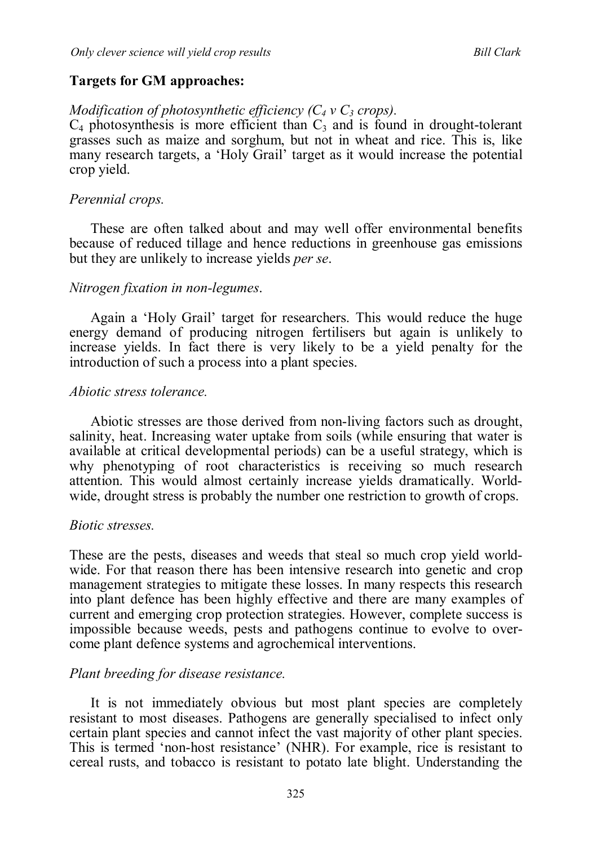### **Targets for GM approaches:**

### *Modification of photosynthetic efficiency*  $(C_4 \vee C_3 \text{ crops})$ *.*

 $C_4$  photosynthesis is more efficient than  $C_3$  and is found in drought-tolerant grasses such as maize and sorghum, but not in wheat and rice. This is, like many research targets, a 'Holy Grail' target as it would increase the potential crop yield.

### *Perennial crops.*

These are often talked about and may well offer environmental benefits because of reduced tillage and hence reductions in greenhouse gas emissions but they are unlikely to increase yields *per se*.

### *Nitrogen fixation in non-legumes*.

Again a 'Holy Grail' target for researchers. This would reduce the huge energy demand of producing nitrogen fertilisers but again is unlikely to increase yields. In fact there is very likely to be a yield penalty for the introduction of such a process into a plant species.

#### *Abiotic stress tolerance.*

Abiotic stresses are those derived from non-living factors such as drought, salinity, heat. Increasing water uptake from soils (while ensuring that water is available at critical developmental periods) can be a useful strategy, which is why phenotyping of root characteristics is receiving so much research attention. This would almost certainly increase yields dramatically. Worldwide, drought stress is probably the number one restriction to growth of crops.

#### *Biotic stresses.*

These are the pests, diseases and weeds that steal so much crop yield worldwide. For that reason there has been intensive research into genetic and crop management strategies to mitigate these losses. In many respects this research into plant defence has been highly effective and there are many examples of current and emerging crop protection strategies. However, complete success is impossible because weeds, pests and pathogens continue to evolve to overcome plant defence systems and agrochemical interventions.

#### *Plant breeding for disease resistance.*

It is not immediately obvious but most plant species are completely resistant to most diseases. Pathogens are generally specialised to infect only certain plant species and cannot infect the vast majority of other plant species. This is termed 'non-host resistance' (NHR). For example, rice is resistant to cereal rusts, and tobacco is resistant to potato late blight. Understanding the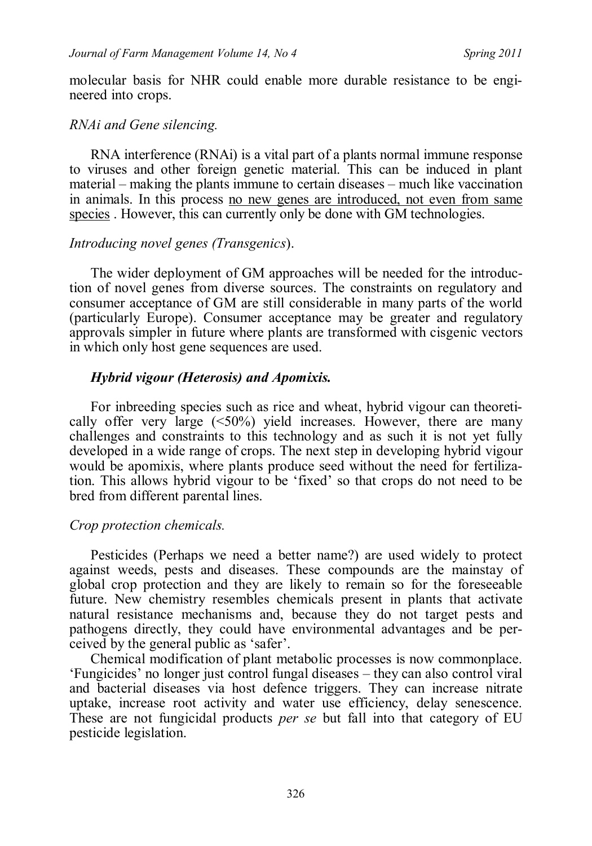molecular basis for NHR could enable more durable resistance to be engineered into crops.

### *RNAi and Gene silencing.*

RNA interference (RNAi) is a vital part of a plants normal immune response to viruses and other foreign genetic material. This can be induced in plant material – making the plants immune to certain diseases – much like vaccination in animals. In this process no new genes are introduced, not even from same species. However, this can currently only be done with GM technologies.

### *Introducing novel genes (Transgenics*).

The wider deployment of GM approaches will be needed for the introduction of novel genes from diverse sources. The constraints on regulatory and consumer acceptance of GM are still considerable in many parts of the world (particularly Europe). Consumer acceptance may be greater and regulatory approvals simpler in future where plants are transformed with cisgenic vectors in which only host gene sequences are used.

### *Hybrid vigour (Heterosis) and Apomixis.*

For inbreeding species such as rice and wheat, hybrid vigour can theoretically offer very large (<50%) yield increases. However, there are many challenges and constraints to this technology and as such it is not yet fully developed in a wide range of crops. The next step in developing hybrid vigour would be apomixis, where plants produce seed without the need for fertilization. This allows hybrid vigour to be 'fixed' so that crops do not need to be bred from different parental lines.

### *Crop protection chemicals.*

Pesticides (Perhaps we need a better name?) are used widely to protect against weeds, pests and diseases. These compounds are the mainstay of global crop protection and they are likely to remain so for the foreseeable future. New chemistry resembles chemicals present in plants that activate natural resistance mechanisms and, because they do not target pests and pathogens directly, they could have environmental advantages and be perceived by the general public as 'safer'.

Chemical modification of plant metabolic processes is now commonplace. 'Fungicides' no longer just control fungal diseases – they can also control viral and bacterial diseases via host defence triggers. They can increase nitrate uptake, increase root activity and water use efficiency, delay senescence. These are not fungicidal products *per se* but fall into that category of EU pesticide legislation.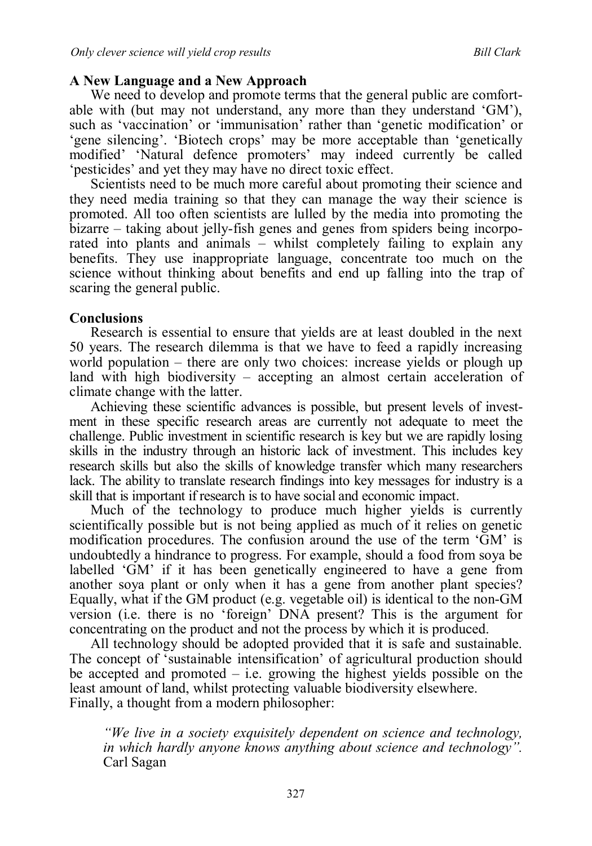# **A New Language and a New Approach**

We need to develop and promote terms that the general public are comfortable with (but may not understand, any more than they understand 'GM'), such as 'vaccination' or 'immunisation' rather than 'genetic modification' or 'gene silencing'. 'Biotech crops' may be more acceptable than 'genetically modified' 'Natural defence promoters' may indeed currently be called 'pesticides' and yet they may have no direct toxic effect.

Scientists need to be much more careful about promoting their science and they need media training so that they can manage the way their science is promoted. All too often scientists are lulled by the media into promoting the bizarre – taking about jelly-fish genes and genes from spiders being incorporated into plants and animals – whilst completely failing to explain any benefits. They use inappropriate language, concentrate too much on the science without thinking about benefits and end up falling into the trap of scaring the general public.

## **Conclusions**

Research is essential to ensure that yields are at least doubled in the next 50 years. The research dilemma is that we have to feed a rapidly increasing world population – there are only two choices: increase yields or plough up land with high biodiversity – accepting an almost certain acceleration of climate change with the latter.

Achieving these scientific advances is possible, but present levels of investment in these specific research areas are currently not adequate to meet the challenge. Public investment in scientific research is key but we are rapidly losing skills in the industry through an historic lack of investment. This includes key research skills but also the skills of knowledge transfer which many researchers lack. The ability to translate research findings into key messages for industry is a skill that is important if research is to have social and economic impact.

Much of the technology to produce much higher yields is currently scientifically possible but is not being applied as much of it relies on genetic modification procedures. The confusion around the use of the term 'GM' is undoubtedly a hindrance to progress. For example, should a food from soya be labelled 'GM' if it has been genetically engineered to have a gene from another soya plant or only when it has a gene from another plant species? Equally, what if the GM product (e.g. vegetable oil) is identical to the non-GM version (i.e. there is no 'foreign' DNA present? This is the argument for concentrating on the product and not the process by which it is produced.

All technology should be adopted provided that it is safe and sustainable. The concept of 'sustainable intensification' of agricultural production should be accepted and promoted  $-$  i.e. growing the highest yields possible on the least amount of land, whilst protecting valuable biodiversity elsewhere. Finally, a thought from a modern philosopher:

*"We live in a society exquisitely dependent on science and technology, in which hardly anyone knows anything about science and technology".* Carl Sagan